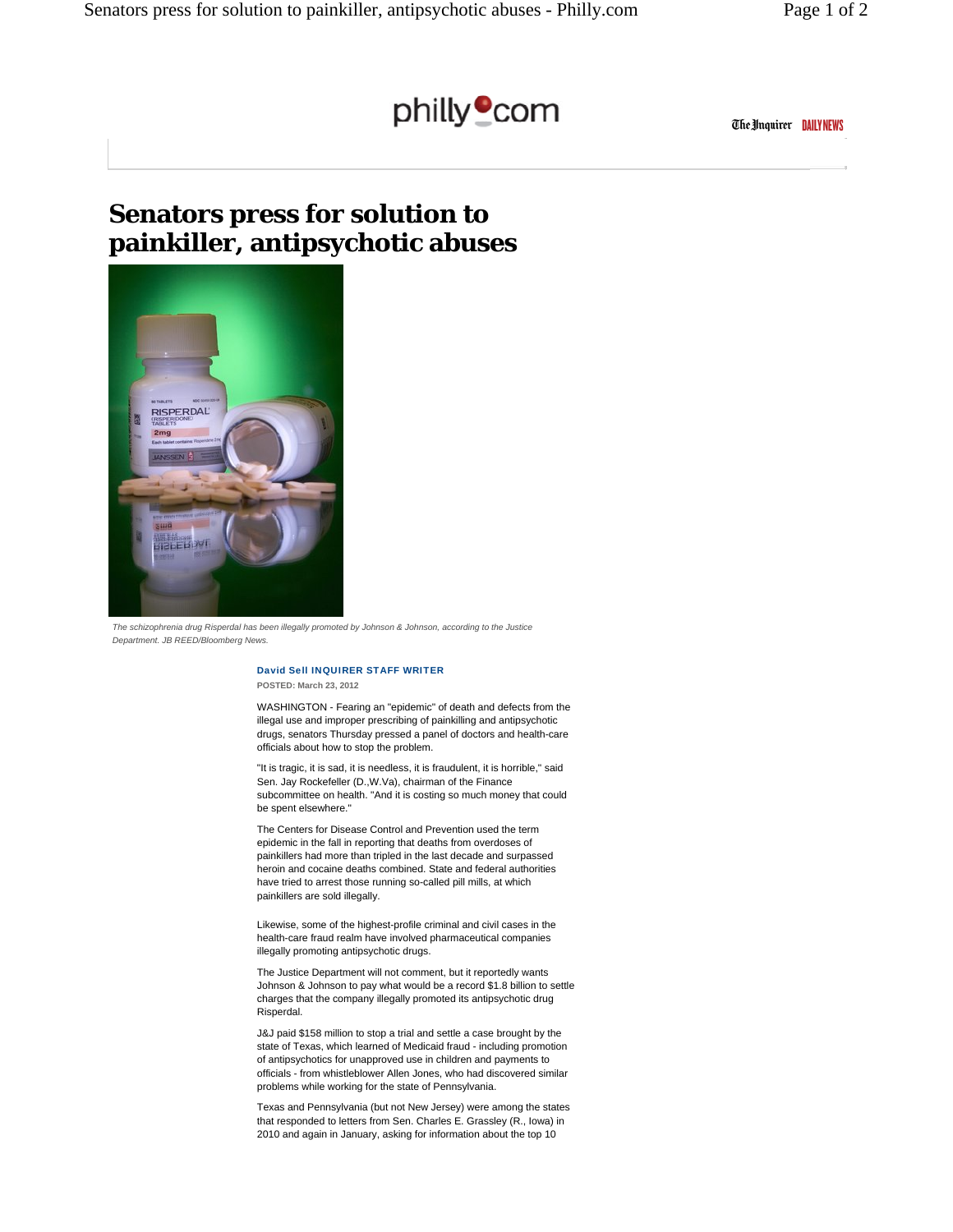

The Unquirer DAILY NEWS

## **Senators press for solution to painkiller, antipsychotic abuses**



*The schizophrenia drug Risperdal has been illegally promoted by Johnson & Johnson, according to the Justice Department. JB REED/Bloomberg News.*

## David Sell INQUIRER STAFF WRITER **POSTED: March 23, 2012**

WASHINGTON - Fearing an "epidemic" of death and defects from the illegal use and improper prescribing of painkilling and antipsychotic drugs, senators Thursday pressed a panel of doctors and health-care officials about how to stop the problem.

"It is tragic, it is sad, it is needless, it is fraudulent, it is horrible," said Sen. Jay Rockefeller (D.,W.Va), chairman of the Finance subcommittee on health. "And it is costing so much money that could be spent elsewhere."

The Centers for Disease Control and Prevention used the term epidemic in the fall in reporting that deaths from overdoses of painkillers had more than tripled in the last decade and surpassed heroin and cocaine deaths combined. State and federal authorities have tried to arrest those running so-called pill mills, at which painkillers are sold illegally.

Likewise, some of the highest-profile criminal and civil cases in the health-care fraud realm have involved pharmaceutical companies illegally promoting antipsychotic drugs.

The Justice Department will not comment, but it reportedly wants Johnson & Johnson to pay what would be a record \$1.8 billion to settle charges that the company illegally promoted its antipsychotic drug Risperdal.

J&J paid \$158 million to stop a trial and settle a case brought by the state of Texas, which learned of Medicaid fraud - including promotion of antipsychotics for unapproved use in children and payments to officials - from whistleblower Allen Jones, who had discovered similar problems while working for the state of Pennsylvania.

Texas and Pennsylvania (but not New Jersey) were among the states that responded to letters from Sen. Charles E. Grassley (R., Iowa) in 2010 and again in January, asking for information about the top 10